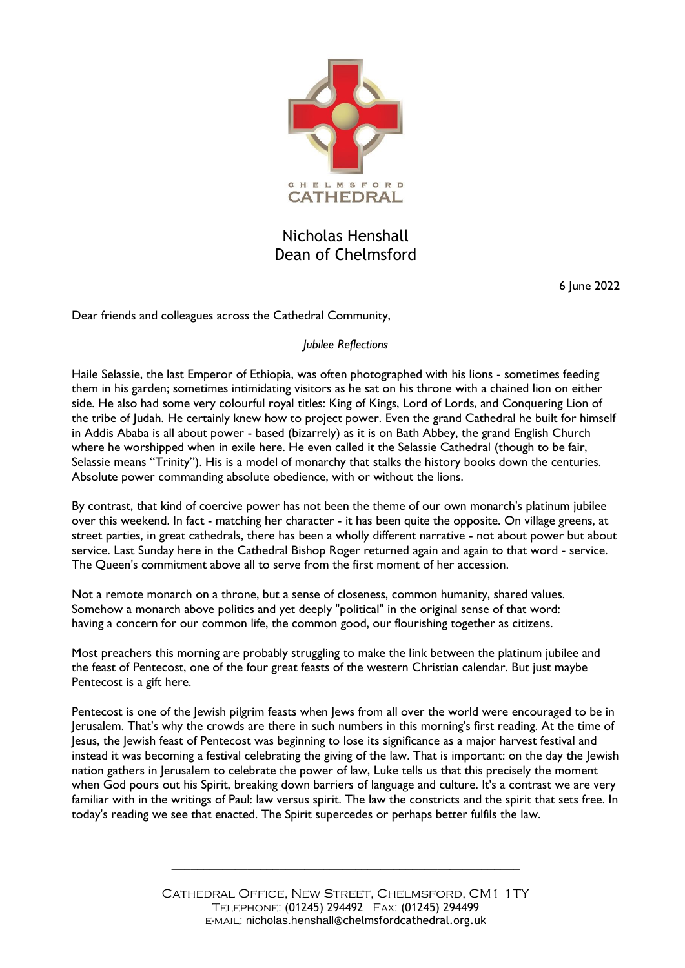

## Nicholas Henshall Dean of Chelmsford

6 June 2022

Dear friends and colleagues across the Cathedral Community,

## *Jubilee Reflections*

Haile Selassie, the last Emperor of Ethiopia, was often photographed with his lions - sometimes feeding them in his garden; sometimes intimidating visitors as he sat on his throne with a chained lion on either side. He also had some very colourful royal titles: King of Kings, Lord of Lords, and Conquering Lion of the tribe of Judah. He certainly knew how to project power. Even the grand Cathedral he built for himself in Addis Ababa is all about power - based (bizarrely) as it is on Bath Abbey, the grand English Church where he worshipped when in exile here. He even called it the Selassie Cathedral (though to be fair, Selassie means "Trinity"). His is a model of monarchy that stalks the history books down the centuries. Absolute power commanding absolute obedience, with or without the lions.

By contrast, that kind of coercive power has not been the theme of our own monarch's platinum jubilee over this weekend. In fact - matching her character - it has been quite the opposite. On village greens, at street parties, in great cathedrals, there has been a wholly different narrative - not about power but about service. Last Sunday here in the Cathedral Bishop Roger returned again and again to that word - service. The Queen's commitment above all to serve from the first moment of her accession.

Not a remote monarch on a throne, but a sense of closeness, common humanity, shared values. Somehow a monarch above politics and yet deeply "political" in the original sense of that word: having a concern for our common life, the common good, our flourishing together as citizens.

Most preachers this morning are probably struggling to make the link between the platinum jubilee and the feast of Pentecost, one of the four great feasts of the western Christian calendar. But just maybe Pentecost is a gift here.

Pentecost is one of the Jewish pilgrim feasts when Jews from all over the world were encouraged to be in Jerusalem. That's why the crowds are there in such numbers in this morning's first reading. At the time of Jesus, the Jewish feast of Pentecost was beginning to lose its significance as a major harvest festival and instead it was becoming a festival celebrating the giving of the law. That is important: on the day the Jewish nation gathers in Jerusalem to celebrate the power of law, Luke tells us that this precisely the moment when God pours out his Spirit, breaking down barriers of language and culture. It's a contrast we are very familiar with in the writings of Paul: law versus spirit. The law the constricts and the spirit that sets free. In today's reading we see that enacted. The Spirit supercedes or perhaps better fulfils the law.

**\_\_\_\_\_\_\_\_\_\_\_\_\_\_\_\_\_\_\_\_\_\_\_\_\_\_\_\_\_\_\_\_\_\_\_\_\_\_\_\_\_\_\_\_\_\_\_\_\_\_\_\_\_\_\_**